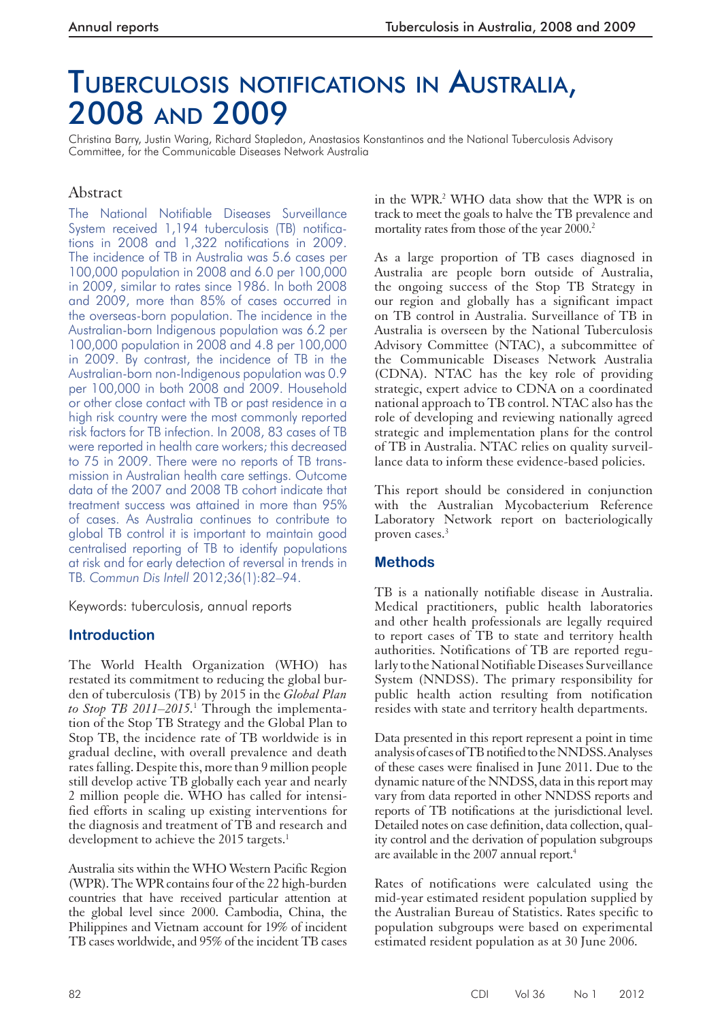# TUBERCULOSIS NOTIFICATIONS IN AUSTRALIA, 2008 AND 2009

Christina Barry, Justin Waring, Richard Stapledon, Anastasios Konstantinos and the National Tuberculosis Advisory Committee, for the Communicable Diseases Network Australia

## Abstract

The National Notifiable Diseases Surveillance System received 1,194 tuberculosis (TB) notifications in 2008 and 1,322 notifications in 2009. The incidence of TB in Australia was 5.6 cases per 100,000 population in 2008 and 6.0 per 100,000 in 2009, similar to rates since 1986. In both 2008 and 2009, more than 85% of cases occurred in the overseas-born population. The incidence in the Australian-born Indigenous population was 6.2 per 100,000 population in 2008 and 4.8 per 100,000 in 2009. By contrast, the incidence of TB in the Australian-born non-Indigenous population was 0.9 per 100,000 in both 2008 and 2009. Household or other close contact with TB or past residence in a high risk country were the most commonly reported risk factors for TB infection. In 2008, 83 cases of TB were reported in health care workers; this decreased to 75 in 2009. There were no reports of TB transmission in Australian health care settings. Outcome data of the 2007 and 2008 TB cohort indicate that treatment success was attained in more than 95% of cases. As Australia continues to contribute to global TB control it is important to maintain good centralised reporting of TB to identify populations at risk and for early detection of reversal in trends in TB. *Commun Dis Intell* 2012;36(1):82–94.

Keywords: tuberculosis, annual reports

## **Introduction**

 The World Health Organization (WHO) has restated its commitment to reducing the global burden of tuberculosis (TB) by 2015 in the *Global Plan*  to Stop TB 2011–2015.<sup>1</sup> Through the implementation of the Stop TB Strategy and the Global Plan to Stop TB, the incidence rate of TB worldwide is in gradual decline, with overall prevalence and death rates falling. Despite this, more than 9 million people still develop active TB globally each year and nearly 2 million people die. WHO has called for intensified efforts in scaling up existing interventions for the diagnosis and treatment of TB and research and development to achieve the 2015 targets.<sup>1</sup>

 Australia sits within the WHO Western Pacific Region (WPR). The WPR contains four of the 22 high-burden countries that have received particular attention at the global level since 2000. Cambodia, China, the Philippines and Vietnam account for 19% of incident TB cases worldwide, and 95% of the incident TB cases

in the WPR.<sup>2</sup> WHO data show that the WPR is on track to meet the goals to halve the TB prevalence and mortality rates from those of the year 2000.<sup>2</sup>

 As a large proportion of TB cases diagnosed in Australia are people born outside of Australia, the ongoing success of the Stop TB Strategy in our region and globally has a significant impact on TB control in Australia. Surveillance of TB in Australia is overseen by the National Tuberculosis Advisory Committee (NTAC), a subcommittee of the Communicable Diseases Network Australia (CDNA). NTAC has the key role of providing strategic, expert advice to CDNA on a coordinated national approach to TB control. NTAC also has the role of developing and reviewing nationally agreed strategic and implementation plans for the control of TB in Australia. NTAC relies on quality surveillance data to inform these evidence-based policies.

 This report should be considered in conjunction with the Australian Mycobacterium Reference Laboratory Network report on bacteriologically proven cases.<sup>3</sup>

## **Methods**

 TB is a nationally notifiable disease in Australia. Medical practitioners, public health laboratories and other health professionals are legally required to report cases of TB to state and territory health authorities. Notifications of TB are reported regularly to the National Notifiable Diseases Surveillance System (NNDSS). The primary responsibility for public health action resulting from notification resides with state and territory health departments.

 Data presented in this report represent a point in time analysis of cases of TB notified to the NNDSS. Analyses of these cases were finalised in June 2011. Due to the dynamic nature of the NNDSS, data in this report may vary from data reported in other NNDSS reports and reports of TB notifications at the jurisdictional level. Detailed notes on case definition, data collection, quality control and the derivation of population subgroups are available in the 2007 annual report. 4

 Rates of notifications were calculated using the mid-year estimated resident population supplied by the Australian Bureau of Statistics. Rates specific to population subgroups were based on experimental estimated resident population as at 30 June 2006.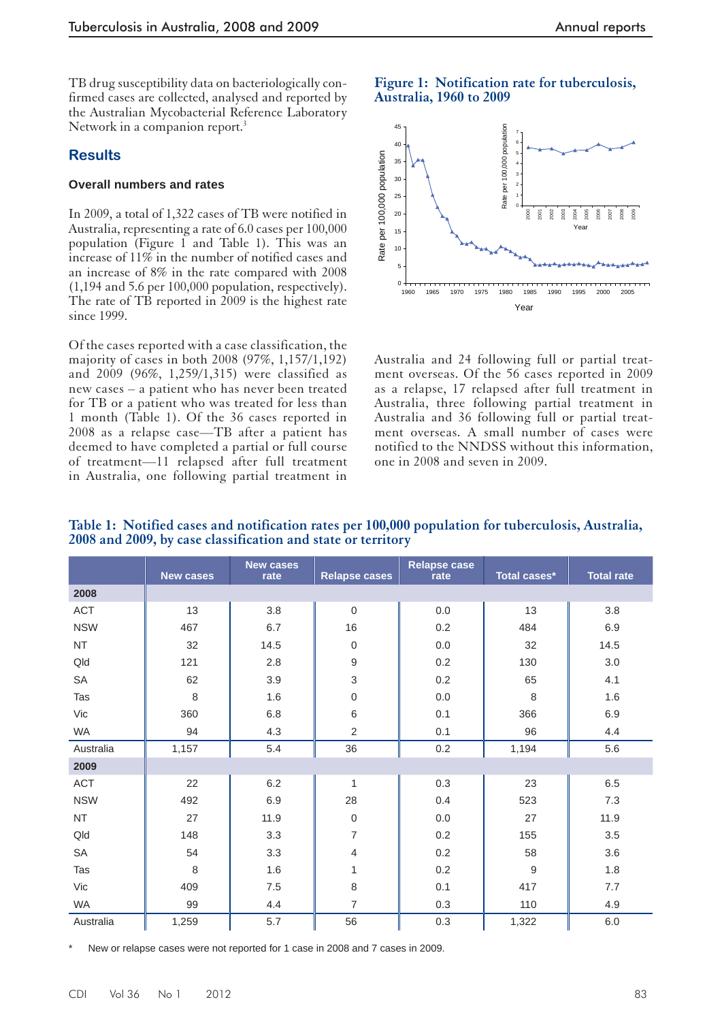TB drug susceptibility data on bacteriologically confirmed cases are collected, analysed and reported by the Australian Mycobacterial Reference Laboratory Network in a companion report.<sup>3</sup>

#### **Results**

#### **Overall numbers and rates**

 In 2009, a total of 1,322 cases of TB were notified in Australia, representing a rate of 6.0 cases per 100,000 population (Figure 1 and Table 1). This was an increase of 11% in the number of notified cases and an increase of 8% in the rate compared with 2008 (1,194 and 5.6 per 100,000 population, respectively). The rate of TB reported in 2009 is the highest rate since 1999.

Of the cases reported with a case classification, the majority of cases in both 2008 (97%, 1,157/1,192) and 2009 (96%, 1,259/1,315) were classified as new cases – a patient who has never been treated for TB or a patient who was treated for less than 1 month (Table 1). Of the 36 cases reported in 2008 as a relapse case—TB after a patient has deemed to have completed a partial or full course of treatment—11 relapsed after full treatment in Australia, one following partial treatment in





Australia and 24 following full or partial treatment overseas. Of the 56 cases reported in 2009 as a relapse, 17 relapsed after full treatment in Australia, three following partial treatment in Australia and 36 following full or partial treatment overseas. A small number of cases were notified to the NNDSS without this information, one in 2008 and seven in 2009.

|            | <b>New cases</b> | <b>New cases</b><br>rate | <b>Relapse cases</b> | <b>Relapse case</b><br>rate | Total cases* | <b>Total rate</b> |
|------------|------------------|--------------------------|----------------------|-----------------------------|--------------|-------------------|
| 2008       |                  |                          |                      |                             |              |                   |
| <b>ACT</b> | 13               | 3.8                      | $\overline{0}$       | 0.0                         | 13           | 3.8               |
| <b>NSW</b> | 467              | 6.7                      | 16                   | 0.2                         | 484          | 6.9               |
| <b>NT</b>  | 32               | 14.5                     | $\mathbf 0$          | 0.0                         | 32           | 14.5              |
| Qld        | 121              | 2.8                      | 9                    | 0.2                         | 130          | 3.0               |
| SA         | 62               | 3.9                      | 3                    | 0.2                         | 65           | 4.1               |
| Tas        | 8                | 1.6                      | $\boldsymbol{0}$     | 0.0                         | 8            | 1.6               |
| Vic        | 360              | $6.8\,$                  | 6                    | 0.1                         | 366          | 6.9               |
| WA         | 94               | 4.3                      | $\overline{2}$       | 0.1                         | 96           | 4.4               |
| Australia  | 1,157            | 5.4                      | 36                   | 0.2                         | 1,194        | 5.6               |
| 2009       |                  |                          |                      |                             |              |                   |
| <b>ACT</b> | 22               | 6.2                      | 1                    | 0.3                         | 23           | 6.5               |
| <b>NSW</b> | 492              | 6.9                      | 28                   | 0.4                         | 523          | 7.3               |
| <b>NT</b>  | 27               | 11.9                     | $\boldsymbol{0}$     | 0.0                         | 27           | 11.9              |
| Qld        | 148              | 3.3                      | 7                    | 0.2                         | 155          | 3.5               |
| <b>SA</b>  | 54               | 3.3                      | 4                    | 0.2                         | 58           | 3.6               |
| Tas        | 8                | 1.6                      | 1                    | 0.2                         | 9            | 1.8               |
| Vic        | 409              | $7.5\,$                  | 8                    | 0.1                         | 417          | 7.7               |
| <b>WA</b>  | 99               | 4.4                      | $\overline{7}$       | 0.3                         | 110          | 4.9               |
| Australia  | 1,259            | 5.7                      | 56                   | 0.3                         | 1,322        | 6.0               |

 **Table 1: Notified cases and notification rates per 100,000 population for tuberculosis, Australia, 2008 and 2009, by case classification and state or territory** 

New or relapse cases were not reported for 1 case in 2008 and 7 cases in 2009.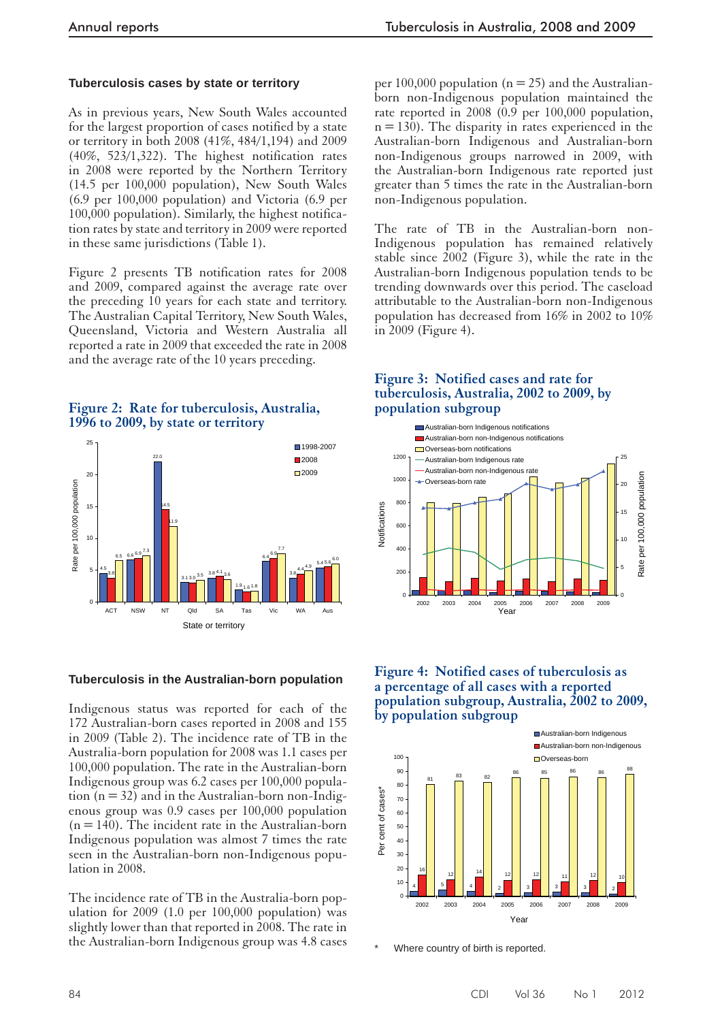#### **Tuberculosis cases by state or territory**

 As in previous years, New South Wales accounted for the largest proportion of cases notified by a state or territory in both 2008 (41%, 484/1,194) and 2009 (40%, 523/1,322). The highest notification rates in 2008 were reported by the Northern Territory (14.5 per 100,000 population), New South Wales (6.9 per 100,000 population) and Victoria (6.9 per 100,000 population). Similarly, the highest notification rates by state and territory in 2009 were reported in these same jurisdictions (Table 1).

 Figure 2 presents TB notification rates for 2008 and 2009, compared against the average rate over the preceding 10 years for each state and territory. The Australian Capital Territory, New South Wales, Queensland, Victoria and Western Australia all reported a rate in 2009 that exceeded the rate in 2008 and the average rate of the 10 years preceding.

#### **Figure 2: Rate for tuberculosis, Australia, 1996 to 2009, by state or territory**



#### **Tuberculosis in the Australian-born population**

 Indigenous status was reported for each of the 172 Australian-born cases reported in 2008 and 155 in 2009 (Table 2). The incidence rate of TB in the Australia-born population for 2008 was 1.1 cases per 100,000 population. The rate in the Australian-born Indigenous group was 6.2 cases per 100,000 population  $(n = 32)$  and in the Australian-born non-Indigenous group was 0.9 cases per 100,000 population  $(n = 140)$ . The incident rate in the Australian-born Indigenous population was almost 7 times the rate seen in the Australian-born non-Indigenous population in 2008.

 The incidence rate of TB in the Australia-born population for 2009 (1.0 per  $100,000$  population) was slightly lower than that reported in 2008. The rate in the Australian-born Indigenous group was 4.8 cases

per 100,000 population ( $n = 25$ ) and the Australianborn non-Indigenous population maintained the rate reported in 2008 (0.9 per 100,000 population,  $n = 130$ ). The disparity in rates experienced in the Australian-born Indigenous and Australian-born non-Indigenous groups narrowed in 2009, with the Australian-born Indigenous rate reported just greater than 5 times the rate in the Australian-born non-Indigenous population.

 The rate of TB in the Australian-born non-Indigenous population has remained relatively stable since 2002 (Figure 3), while the rate in the Australian-born Indigenous population tends to be trending downwards over this period. The caseload attributable to the Australian-born non-Indigenous population has decreased from 16% in 2002 to 10% in 2009 (Figure 4).

#### **Figure 3: Notified cases and rate for tuberculosis, Australia, 2002 to 2009, by population subgroup**



#### **Figure 4: Notified cases of tuberculosis as a percentage of all cases with a reported population subgroup, Australia, 2002 to 2009, by population subgroup**



Where country of birth is reported.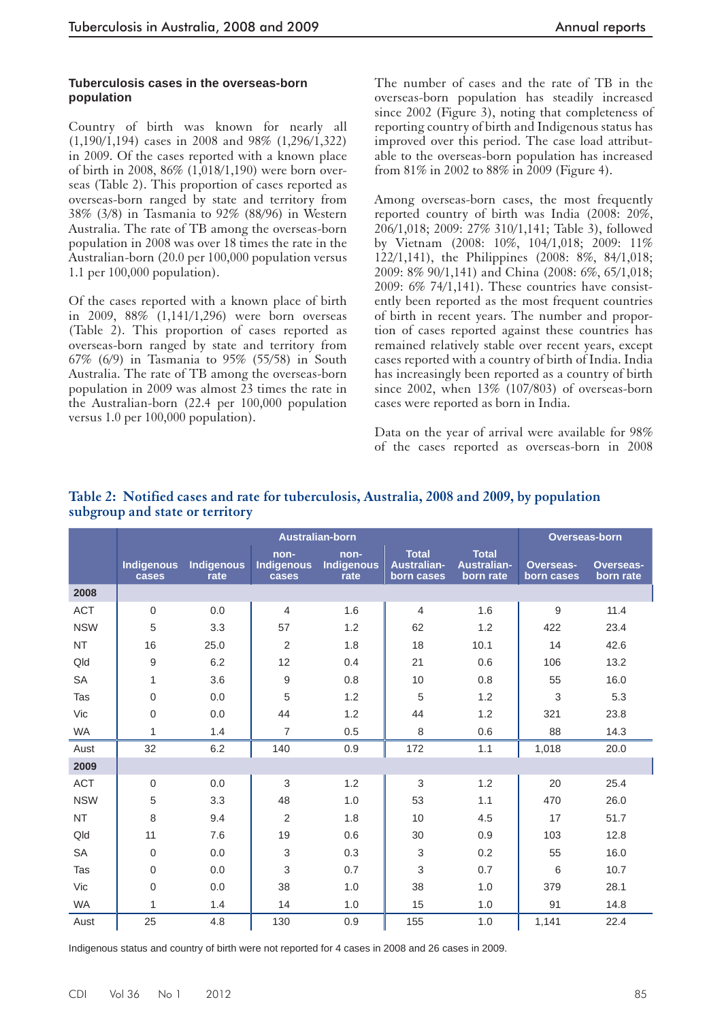#### **Tuberculosis cases in the overseas-born population**

 Country of birth was known for nearly all (1,190/1,194) cases in 2008 and 98% (1,296/1,322) in 2009. Of the cases reported with a known place of birth in 2008, 86% (1,018/1,190) were born overseas (Table 2). This proportion of cases reported as overseas-born ranged by state and territory from 38% (3/8) in Tasmania to 92% (88/96) in Western Australia. The rate of TB among the overseas-born population in 2008 was over 18 times the rate in the Australian-born (20.0 per 100,000 population versus 1.1 per 100,000 population).

 Of the cases reported with a known place of birth in 2009, 88% (1,141/1,296) were born overseas (Table 2). This proportion of cases reported as overseas-born ranged by state and territory from 67% (6/9) in Tasmania to 95% (55/58) in South Australia. The rate of TB among the overseas-born population in 2009 was almost 23 times the rate in the Australian-born (22.4 per 100,000 population versus 1.0 per 100,000 population).

The number of cases and the rate of TB in the overseas-born population has steadily increased since 2002 (Figure 3), noting that completeness of reporting country of birth and Indigenous status has improved over this period. The case load attributable to the overseas-born population has increased from 81% in 2002 to 88% in 2009 (Figure 4).

 Among overseas-born cases, the most frequently reported country of birth was India (2008: 20%, 206/1,018; 2009: 27% 310/1,141; Table 3), followed by Vietnam (2008: 10%, 104/1,018; 2009: 11% 122/1,141), the Philippines (2008: 8%, 84/1,018; 2009: 8% 90/1,141) and China (2008: 6%, 65/1,018; 2009: 6% 74/1,141). These countries have consistently been reported as the most frequent countries of birth in recent years. The number and proportion of cases reported against these countries has remained relatively stable over recent years, except cases reported with a country of birth of India. India has increasingly been reported as a country of birth since 2002, when 13% (107/803) of overseas-born cases were reported as born in India.

Data on the year of arrival were available for 98% of the cases reported as overseas-born in 2008

|            |                            |                           |                                    | <b>Australian-born</b>     |                                                  |                                                 | <b>Overseas-born</b>           |                               |
|------------|----------------------------|---------------------------|------------------------------------|----------------------------|--------------------------------------------------|-------------------------------------------------|--------------------------------|-------------------------------|
|            | <b>Indigenous</b><br>cases | <b>Indigenous</b><br>rate | non-<br><b>Indigenous</b><br>cases | non-<br>Indigenous<br>rate | <b>Total</b><br><b>Australian-</b><br>born cases | <b>Total</b><br><b>Australian-</b><br>born rate | <b>Overseas-</b><br>born cases | <b>Overseas-</b><br>born rate |
| 2008       |                            |                           |                                    |                            |                                                  |                                                 |                                |                               |
| <b>ACT</b> | $\mathbf 0$                | 0.0                       | $\overline{4}$                     | 1.6                        | 4                                                | 1.6                                             | 9                              | 11.4                          |
| <b>NSW</b> | 5                          | 3.3                       | 57                                 | 1.2                        | 62                                               | 1.2                                             | 422                            | 23.4                          |
| <b>NT</b>  | 16                         | 25.0                      | $\overline{2}$                     | 1.8                        | 18                                               | 10.1                                            | 14                             | 42.6                          |
| Qld        | 9                          | 6.2                       | 12                                 | 0.4                        | 21                                               | 0.6                                             | 106                            | 13.2                          |
| <b>SA</b>  | $\mathbf{1}$               | 3.6                       | $9\,$                              | 0.8                        | 10                                               | 0.8                                             | 55                             | 16.0                          |
| Tas        | $\mathbf 0$                | 0.0                       | 5                                  | 1.2                        | 5                                                | 1.2                                             | $\mathfrak{Z}$                 | 5.3                           |
| Vic        | $\overline{0}$             | 0.0                       | 44                                 | 1.2                        | 44                                               | 1.2                                             | 321                            | 23.8                          |
| <b>WA</b>  | $\mathbf{1}$               | 1.4                       | $\overline{7}$                     | 0.5                        | 8                                                | 0.6                                             | 88                             | 14.3                          |
| Aust       | 32                         | 6.2                       | 140                                | 0.9                        | 172                                              | 1.1                                             | 1,018                          | 20.0                          |
| 2009       |                            |                           |                                    |                            |                                                  |                                                 |                                |                               |
| <b>ACT</b> | $\mathbf 0$                | 0.0                       | 3                                  | 1.2                        | 3                                                | 1.2                                             | 20                             | 25.4                          |
| <b>NSW</b> | 5                          | 3.3                       | 48                                 | 1.0                        | 53                                               | 1.1                                             | 470                            | 26.0                          |
| <b>NT</b>  | 8                          | 9.4                       | $\overline{2}$                     | 1.8                        | 10                                               | 4.5                                             | 17                             | 51.7                          |
| Qld        | 11                         | 7.6                       | 19                                 | 0.6                        | 30                                               | 0.9                                             | 103                            | 12.8                          |
| <b>SA</b>  | $\overline{0}$             | 0.0                       | 3                                  | 0.3                        | 3                                                | 0.2                                             | 55                             | 16.0                          |
| Tas        | $\mathbf 0$                | 0.0                       | 3                                  | 0.7                        | 3                                                | 0.7                                             | 6                              | 10.7                          |
| Vic        | $\overline{0}$             | 0.0                       | 38                                 | 1.0                        | 38                                               | 1.0                                             | 379                            | 28.1                          |
| <b>WA</b>  | $\mathbf{1}$               | 1.4                       | 14                                 | 1.0                        | 15                                               | 1.0                                             | 91                             | 14.8                          |
| Aust       | 25                         | 4.8                       | 130                                | 0.9                        | 155                                              | 1.0                                             | 1,141                          | 22.4                          |

## **Table 2: Notified cases and rate for tuberculosis, Australia, 2008 and 2009, by population subgroup and state or territory**

Indigenous status and country of birth were not reported for 4 cases in 2008 and 26 cases in 2009.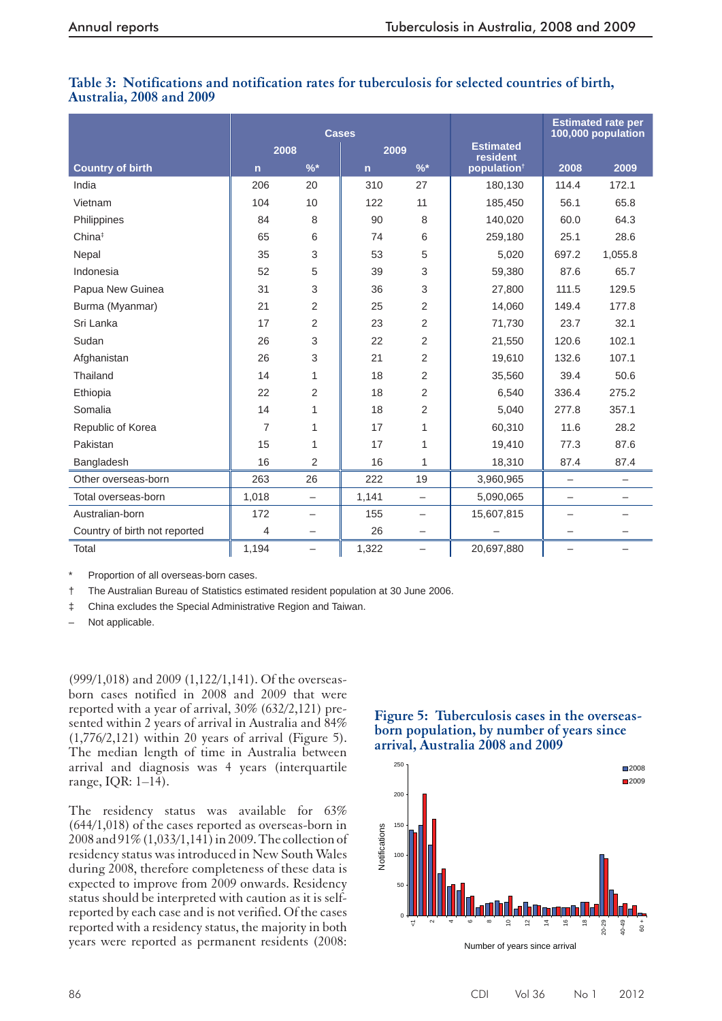### **Table 3: Notifications and notification rates for tuberculosis for selected countries of birth, Australia, 2008 and 2009**

|                               |             | <b>Cases</b>             |                |                          |                              | <b>Estimated rate per</b><br>100,000 population |                   |  |
|-------------------------------|-------------|--------------------------|----------------|--------------------------|------------------------------|-------------------------------------------------|-------------------|--|
|                               | 2008        |                          | 2009           |                          | <b>Estimated</b><br>resident |                                                 |                   |  |
| <b>Country of birth</b>       | $\mathbf n$ | $\frac{9}{6}$ *          | $\overline{n}$ | $\frac{9}{6}$ *          | population <sup>†</sup>      | 2008                                            | 2009              |  |
| India                         | 206         | 20                       | 310            | 27                       | 180,130                      | 114.4                                           | 172.1             |  |
| Vietnam                       | 104         | 10                       | 122            | 11                       | 185,450                      | 56.1                                            | 65.8              |  |
| Philippines                   | 84          | 8                        | 90             | 8                        | 140,020                      | 60.0                                            | 64.3              |  |
| China <sup>‡</sup>            | 65          | 6                        | 74             | 6                        | 259,180                      | 25.1                                            | 28.6              |  |
| Nepal                         | 35          | 3                        | 53             | 5                        | 5,020                        | 697.2                                           | 1,055.8           |  |
| Indonesia                     | 52          | 5                        | 39             | 3                        | 59,380                       | 87.6                                            | 65.7              |  |
| Papua New Guinea              | 31          | 3                        | 36             | 3                        | 27,800                       | 111.5                                           | 129.5             |  |
| Burma (Myanmar)               | 21          | 2                        | 25             | 2                        | 14,060                       | 149.4                                           | 177.8             |  |
| Sri Lanka                     | 17          | 2                        | 23             | $\overline{2}$           | 71,730                       | 23.7                                            | 32.1              |  |
| Sudan                         | 26          | 3                        | 22             | 2                        | 21,550                       | 120.6                                           | 102.1             |  |
| Afghanistan                   | 26          | 3                        | 21             | $\overline{2}$           | 19,610                       | 132.6                                           | 107.1             |  |
| Thailand                      | 14          | 1                        | 18             | 2                        | 35,560                       | 39.4                                            | 50.6              |  |
| Ethiopia                      | 22          | $\overline{2}$           | 18             | $\overline{2}$           | 6,540                        | 336.4                                           | 275.2             |  |
| Somalia                       | 14          | 1                        | 18             | 2                        | 5,040                        | 277.8                                           | 357.1             |  |
| Republic of Korea             | 7           | 1                        | 17             | 1                        | 60,310                       | 11.6                                            | 28.2              |  |
| Pakistan                      | 15          | 1                        | 17             | 1                        | 19,410                       | 77.3                                            | 87.6              |  |
| Bangladesh                    | 16          | $\overline{2}$           | 16             | 1                        | 18,310                       | 87.4                                            | 87.4              |  |
| Other overseas-born           | 263         | 26                       | 222            | 19                       | 3,960,965                    | $\qquad \qquad -$                               | $\qquad \qquad -$ |  |
| Total overseas-born           | 1,018       | $\overline{\phantom{0}}$ | 1,141          | $\overline{\phantom{0}}$ | 5,090,065                    | —                                               |                   |  |
| Australian-born               | 172         | $\overline{\phantom{0}}$ | 155            |                          | 15,607,815                   |                                                 |                   |  |
| Country of birth not reported | 4           | —                        | 26             | —                        |                              |                                                 |                   |  |
| Total                         | 1,194       | $\qquad \qquad -$        | 1,322          |                          | 20,697,880                   | $\overline{\phantom{0}}$                        |                   |  |

Proportion of all overseas-born cases.

† The Australian Bureau of Statistics estimated resident population at 30 June 2006.

‡ China excludes the Special Administrative Region and Taiwan.

– Not applicable.

(999/1,018) and 2009 (1,122/1,141). Of the overseasborn cases notified in 2008 and 2009 that were reported with a year of arrival, 30% (632/2,121) presented within 2 years of arrival in Australia and 84%  $(1,776/2,121)$  within 20 years of arrival (Figure 5). The median length of time in Australia between arrival and diagnosis was 4 years (interquartile range, IQR:  $1-14$ ).

The residency status was available for 63% (644/1,018) of the cases reported as overseas-born in 2008 and 91% (1,033/1,141) in 2009. The collection of residency status was introduced in New South Wales during 2008, therefore completeness of these data is expected to improve from 2009 onwards. Residency status should be interpreted with caution as it is selfreported by each case and is not verified. Of the cases reported with a residency status, the majority in both years were reported as permanent residents (2008:

#### **Figure 5: Tuberculosis cases in the overseasborn population, by number of years since arrival, Australia 2008 and 2009**

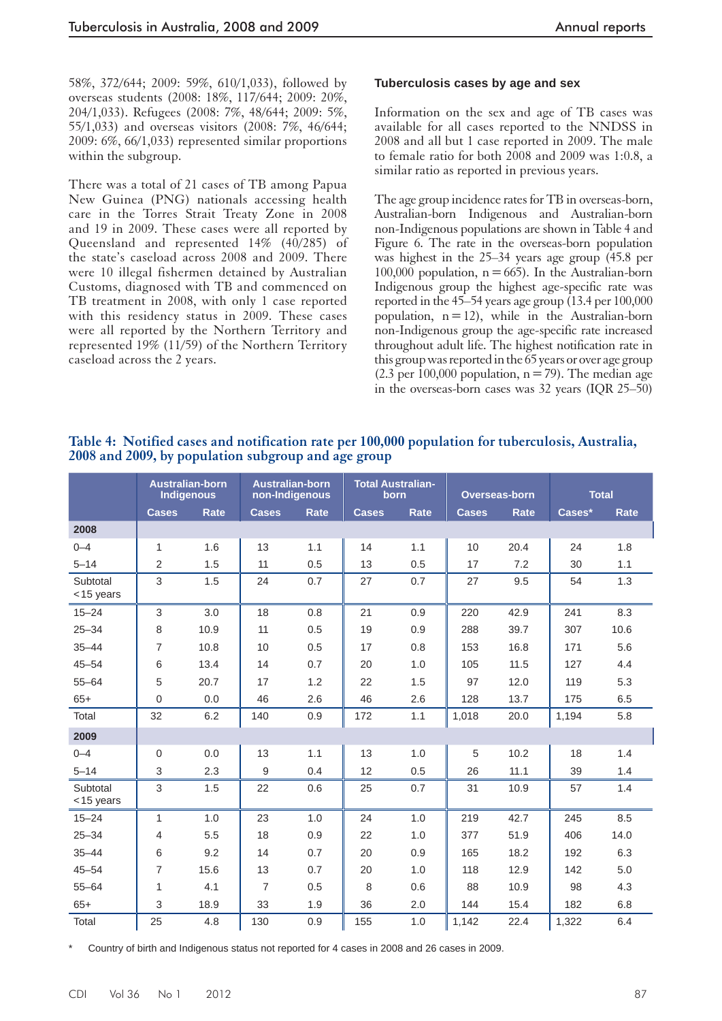58%, 372/644; 2009: 59%, 610/1,033), followed by overseas students (2008: 18%, 117/644; 2009: 20%, 204/1,033). Refugees (2008: 7%, 48/644; 2009: 5%, 55/1,033) and overseas visitors (2008: 7%, 46/644; 2009: 6%, 66/1,033) represented similar proportions within the subgroup.

 There was a total of 21 cases of TB among Papua New Guinea (PNG) nationals accessing health care in the Torres Strait Treaty Zone in 2008 and 19 in 2009. These cases were all reported by Queensland and represented 14% (40/285) of the state's caseload across 2008 and 2009. There were 10 illegal fishermen detained by Australian Customs, diagnosed with TB and commenced on TB treatment in 2008, with only 1 case reported with this residency status in 2009. These cases were all reported by the Northern Territory and represented 19% (11/59) of the Northern Territory caseload across the 2 years.

#### **Tuberculosis cases by age and sex**

 Information on the sex and age of TB cases was available for all cases reported to the NNDSS in 2008 and all but 1 case reported in 2009. The male to female ratio for both 2008 and 2009 was 1:0.8, a similar ratio as reported in previous years.

 The age group incidence rates for TB in overseas-born, Australian-born Indigenous and Australian-born non-Indigenous populations are shown in Table 4 and Figure 6. The rate in the overseas-born population was highest in the 25–34 years age group (45.8 per  $100,000$  population,  $n = 665$ ). In the Australian-born Indigenous group the highest age-specific rate was reported in the 45–54 years age group (13.4 per 100,000 population,  $n = 12$ , while in the Australian-born non-Indigenous group the age-specific rate increased throughout adult life. The highest notification rate in this group was reported in the 65 years or over age group  $(2.3 \text{ per } 100,000 \text{ population}, n = 79)$ . The median age in the overseas-born cases was 32 years (IQR 25–50)

#### **Table 4: Notified cases and notification rate per 100,000 population for tuberculosis, Australia, 2008 and 2009, by population subgroup and age group**

|                          |                  | <b>Australian-born</b><br><b>Indigenous</b> | <b>Australian-born</b><br>non-Indigenous |      | <b>Total Australian-</b><br>born |             |              | Overseas-born | <b>Total</b> |             |
|--------------------------|------------------|---------------------------------------------|------------------------------------------|------|----------------------------------|-------------|--------------|---------------|--------------|-------------|
|                          | <b>Cases</b>     | <b>Rate</b>                                 | <b>Cases</b>                             | Rate | <b>Cases</b>                     | <b>Rate</b> | <b>Cases</b> | <b>Rate</b>   | Cases*       | <b>Rate</b> |
| 2008                     |                  |                                             |                                          |      |                                  |             |              |               |              |             |
| $0 - 4$                  | $\mathbf{1}$     | 1.6                                         | 13                                       | 1.1  | 14                               | 1.1         | 10           | 20.4          | 24           | 1.8         |
| $5 - 14$                 | $\overline{2}$   | 1.5                                         | 11                                       | 0.5  | 13                               | 0.5         | 17           | 7.2           | 30           | 1.1         |
| Subtotal<br>$<$ 15 years | 3                | 1.5                                         | 24                                       | 0.7  | 27                               | 0.7         | 27           | 9.5           | 54           | 1.3         |
| $15 - 24$                | 3                | 3.0                                         | 18                                       | 0.8  | 21                               | 0.9         | 220          | 42.9          | 241          | 8.3         |
| $25 - 34$                | 8                | 10.9                                        | 11                                       | 0.5  | 19                               | 0.9         | 288          | 39.7          | 307          | 10.6        |
| $35 - 44$                | $\overline{7}$   | 10.8                                        | 10                                       | 0.5  | 17                               | 0.8         | 153          | 16.8          | 171          | 5.6         |
| $45 - 54$                | 6                | 13.4                                        | 14                                       | 0.7  | 20                               | 1.0         | 105          | 11.5          | 127          | 4.4         |
| $55 - 64$                | 5                | 20.7                                        | 17                                       | 1.2  | 22                               | 1.5         | 97           | 12.0          | 119          | 5.3         |
| $65+$                    | $\mathbf 0$      | 0.0                                         | 46                                       | 2.6  | 46                               | 2.6         | 128          | 13.7          | 175          | 6.5         |
| Total                    | 32               | 6.2                                         | 140                                      | 0.9  | 172                              | 1.1         | 1,018        | 20.0          | 1,194        | 5.8         |
| 2009                     |                  |                                             |                                          |      |                                  |             |              |               |              |             |
| $0 - 4$                  | $\boldsymbol{0}$ | 0.0                                         | 13                                       | 1.1  | 13                               | 1.0         | 5            | 10.2          | 18           | 1.4         |
| $5 - 14$                 | 3                | 2.3                                         | 9                                        | 0.4  | 12                               | 0.5         | 26           | 11.1          | 39           | 1.4         |
| Subtotal<br><15 years    | 3                | 1.5                                         | 22                                       | 0.6  | 25                               | 0.7         | 31           | 10.9          | 57           | 1.4         |
| $15 - 24$                | 1                | 1.0                                         | 23                                       | 1.0  | 24                               | 1.0         | 219          | 42.7          | 245          | 8.5         |
| $25 - 34$                | 4                | 5.5                                         | 18                                       | 0.9  | 22                               | 1.0         | 377          | 51.9          | 406          | 14.0        |
| $35 - 44$                | 6                | 9.2                                         | 14                                       | 0.7  | 20                               | 0.9         | 165          | 18.2          | 192          | 6.3         |
| $45 - 54$                | $\overline{7}$   | 15.6                                        | 13                                       | 0.7  | 20                               | 1.0         | 118          | 12.9          | 142          | 5.0         |
| $55 - 64$                | 1                | 4.1                                         | $\overline{7}$                           | 0.5  | 8                                | 0.6         | 88           | 10.9          | 98           | 4.3         |
| $65+$                    | 3                | 18.9                                        | 33                                       | 1.9  | 36                               | 2.0         | 144          | 15.4          | 182          | 6.8         |
| Total                    | 25               | 4.8                                         | 130                                      | 0.9  | 155                              | 1.0         | 1,142        | 22.4          | 1,322        | 6.4         |

Country of birth and Indigenous status not reported for 4 cases in 2008 and 26 cases in 2009.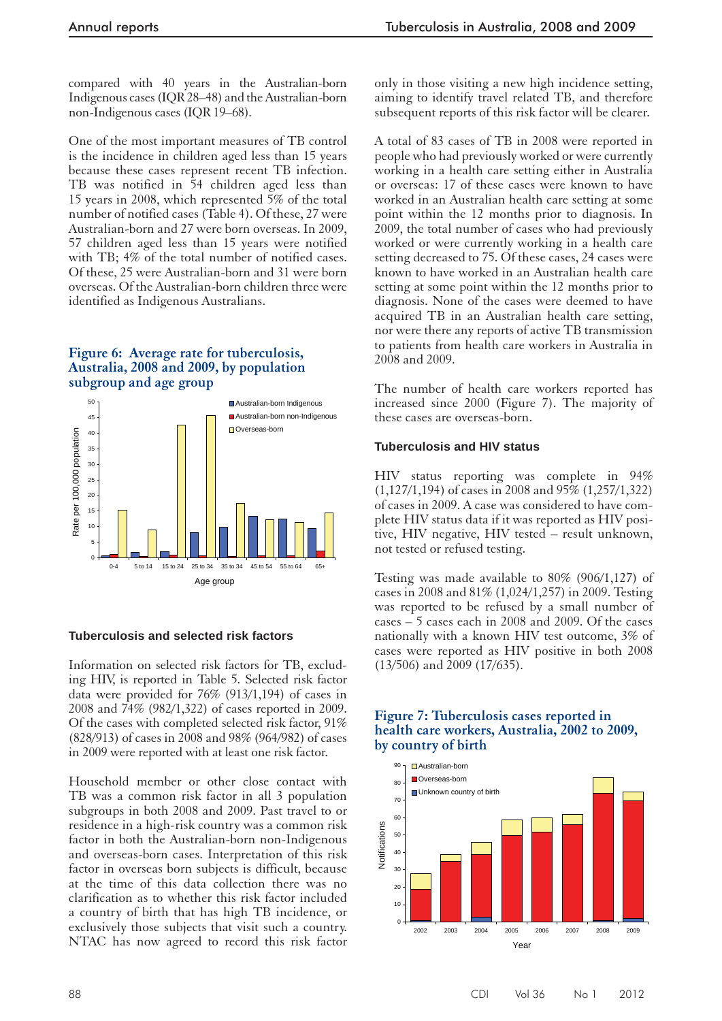compared with 40 years in the Australian-born Indigenous cases (IQR 28–48) and the Australian-born non-Indigenous cases (IQR 19–68).

One of the most important measures of TB control is the incidence in children aged less than 15 years because these cases represent recent TB infection. TB was notified in 54 children aged less than 15 years in 2008, which represented 5% of the total number of notified cases (Table 4). Of these, 27 were Australian-born and 27 were born overseas. In 2009, 57 children aged less than 15 years were notified with TB; 4% of the total number of notified cases. Of these, 25 were Australian-born and 31 were born overseas. Of the Australian-born children three were identified as Indigenous Australians.

#### **Figure 6: Average rate for tuberculosis, Australia, 2008 and 2009, by population subgroup and age group**



#### **Tuberculosis and selected risk factors**

 Information on selected risk factors for TB, excluding HIV, is reported in Table 5. Selected risk factor data were provided for 76% (913/1,194) of cases in 2008 and 74% (982/1,322) of cases reported in 2009. Of the cases with completed selected risk factor, 91% (828/913) of cases in 2008 and 98% (964/982) of cases in 2009 were reported with at least one risk factor.

Household member or other close contact with TB was a common risk factor in all 3 population subgroups in both 2008 and 2009. Past travel to or residence in a high-risk country was a common risk factor in both the Australian-born non-Indigenous and overseas-born cases. Interpretation of this risk factor in overseas born subjects is difficult, because at the time of this data collection there was no clarification as to whether this risk factor included a country of birth that has high TB incidence, or exclusively those subjects that visit such a country. NTAC has now agreed to record this risk factor

only in those visiting a new high incidence setting, aiming to identify travel related TB, and therefore subsequent reports of this risk factor will be clearer.

 A total of 83 cases of TB in 2008 were reported in people who had previously worked or were currently working in a health care setting either in Australia or overseas: 17 of these cases were known to have worked in an Australian health care setting at some point within the 12 months prior to diagnosis. In 2009, the total number of cases who had previously worked or were currently working in a health care setting decreased to 75. Of these cases, 24 cases were known to have worked in an Australian health care setting at some point within the 12 months prior to diagnosis. None of the cases were deemed to have acquired TB in an Australian health care setting, nor were there any reports of active TB transmission to patients from health care workers in Australia in 2008 and 2009.

 The number of health care workers reported has increased since 2000 (Figure 7). The majority of these cases are overseas-born.

#### **Tuberculosis and HIV status**

 HIV status reporting was complete in 94% (1,127/1,194) of cases in 2008 and 95% (1,257/1,322) of cases in 2009. A case was considered to have complete HIV status data if it was reported as HIV positive, HIV negative, HIV tested – result unknown, not tested or refused testing.

 Testing was made available to 80% (906/1,127) of cases in 2008 and 81% (1,024/1,257) in 2009. Testing was reported to be refused by a small number of cases – 5 cases each in 2008 and 2009. Of the cases nationally with a known HIV test outcome, 3% of cases were reported as HIV positive in both 2008 (13/506) and 2009 (17/635).

#### **health care workers, Australia, 2002 to 2009, by country of birth**  50 60 70 80 90 Australian-born Overseas-born Unknown country of birth

 **Figure 7: Tuberculosis cases reported in** 

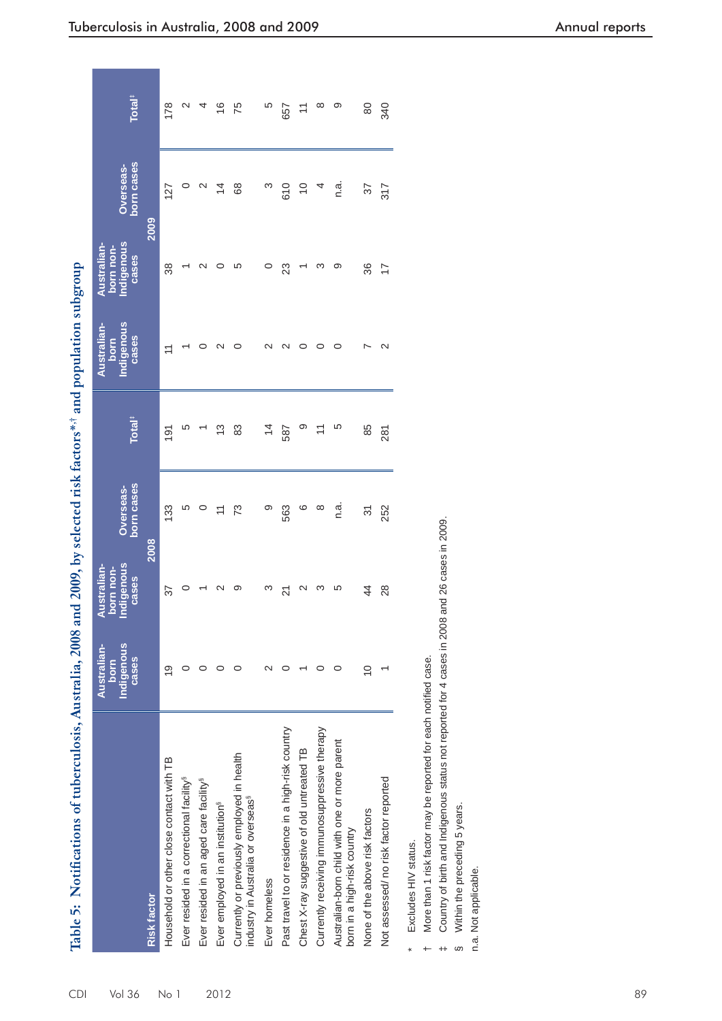| <br> <br> <br>     |
|--------------------|
|                    |
|                    |
|                    |
|                    |
| $12000 \text{ km}$ |
|                    |
|                    |
|                    |
|                    |
|                    |
|                    |
|                    |
|                    |
|                    |
|                    |
|                    |
| $1008$ at          |
|                    |
|                    |
|                    |
|                    |
|                    |
|                    |
|                    |
|                    |
|                    |
|                    |
|                    |
|                    |
|                    |
|                    |
|                    |
|                    |
|                    |
|                    |
|                    |
|                    |
|                    |
|                    |
|                    |
|                    |
|                    |
|                    |
| j                  |
| $\frac{1}{1}$      |
|                    |
|                    |
| ֖֦֦֧֦֞֝׆ <u>׀</u>  |

| Table 5: Notifications of tuberculosis, Australia, 2008                                      |                                                   |                                                | and 2009, by selected risk factors* <sup>*,†</sup> and population subgroup |                          |                                            |                                                 |                         |                                                                     |
|----------------------------------------------------------------------------------------------|---------------------------------------------------|------------------------------------------------|----------------------------------------------------------------------------|--------------------------|--------------------------------------------|-------------------------------------------------|-------------------------|---------------------------------------------------------------------|
|                                                                                              | Indigenous<br>Australian-<br><b>Cases</b><br>born | ndigenous<br>Australian-<br>born non-<br>cases | born cases<br>Overseas-                                                    | <b>Total<sup>#</sup></b> | Indigenous<br>Australian-<br>cases<br>born | Indigenous<br>Australian-<br>born non-<br>cases | born cases<br>Overseas- | <b>Total<sup>#</sup></b>                                            |
| <b>Risk factor</b>                                                                           |                                                   |                                                | 2008                                                                       |                          |                                            |                                                 | 2009                    |                                                                     |
| Household or other close contact with TB                                                     | ლ<br>1                                            | 57                                             | 133                                                                        | 191                      | ニ                                          | 38                                              | 127                     | 178                                                                 |
| Ever resided in a correctional facility <sup>s</sup>                                         | 0                                                 | $\circ$                                        | LO                                                                         | Ю                        |                                            |                                                 | 0                       | $\sim$                                                              |
| Ever resided in an aged care facility <sup>s</sup>                                           | 0                                                 |                                                | 0                                                                          |                          |                                            | $\scriptstyle\sim$                              | $\mathbf{\Omega}$       | 4                                                                   |
| Ever employed in an institution <sup>§</sup>                                                 | 0                                                 | $\sim$                                         | $\overline{ }$                                                             | 13                       | $\sim$                                     |                                                 | $\overline{4}$          | $\frac{6}{1}$                                                       |
| Currently or previously employed in health<br>industry in Australia or overseas <sup>§</sup> | 0                                                 | တ                                              | ೧                                                                          | జ                        | 0                                          | ပ                                               | 89                      | 75                                                                  |
| Ever homeless                                                                                | $\scriptstyle\mathtt{N}$                          | ო                                              | တ                                                                          | $\overline{4}$           | $\sim$                                     | 0                                               | က                       | Ю                                                                   |
| Past travel to or residence in a high-risk country                                           |                                                   | $\overline{21}$                                | 563                                                                        | 587                      | Ν                                          | 23                                              | 610                     | 657                                                                 |
| Chest X-ray suggestive of old untreated TB                                                   |                                                   | $\mathbf{\Omega}$                              | ဖ                                                                          | თ                        | 0                                          |                                                 | $\overline{0}$          | $\stackrel{\textstyle\scriptstyle\smile}{\textstyle\hspace{1.5ex}}$ |
| Currently receiving immunosuppressive therapy                                                | 0                                                 | က                                              | ∞                                                                          | $\overline{ }$           | 0                                          | က                                               |                         | $\infty$                                                            |
| Australian-born child with one or more parent<br>bom in a high-risk country                  | 0                                                 | Ю                                              | n.<br>C                                                                    | ယ                        | 0                                          | တ                                               | n.<br>C                 | တ                                                                   |
| None of the above risk factors                                                               | $\overline{0}$                                    | 44                                             | 5                                                                          | 85                       | ∼                                          | 36                                              | 57                      | 80                                                                  |
| Not assessed/ no risk factor reported                                                        |                                                   | 28                                             | 252                                                                        | 281                      | $\sim$                                     | $\overline{1}$                                  | 317                     | 340                                                                 |
| Excludes HIV status.                                                                         |                                                   |                                                |                                                                            |                          |                                            |                                                 |                         |                                                                     |
| More than 1 risk factor may be reported for each notified case.                              |                                                   |                                                |                                                                            |                          |                                            |                                                 |                         |                                                                     |
| Country of birth and Indigenous status not reported for 4 cases in 200                       |                                                   | 8 and 26 cases in 2009                         |                                                                            |                          |                                            |                                                 |                         |                                                                     |
| Within the preceding 5 years.<br>S                                                           |                                                   |                                                |                                                                            |                          |                                            |                                                 |                         |                                                                     |
| n.a. Not applicable.                                                                         |                                                   |                                                |                                                                            |                          |                                            |                                                 |                         |                                                                     |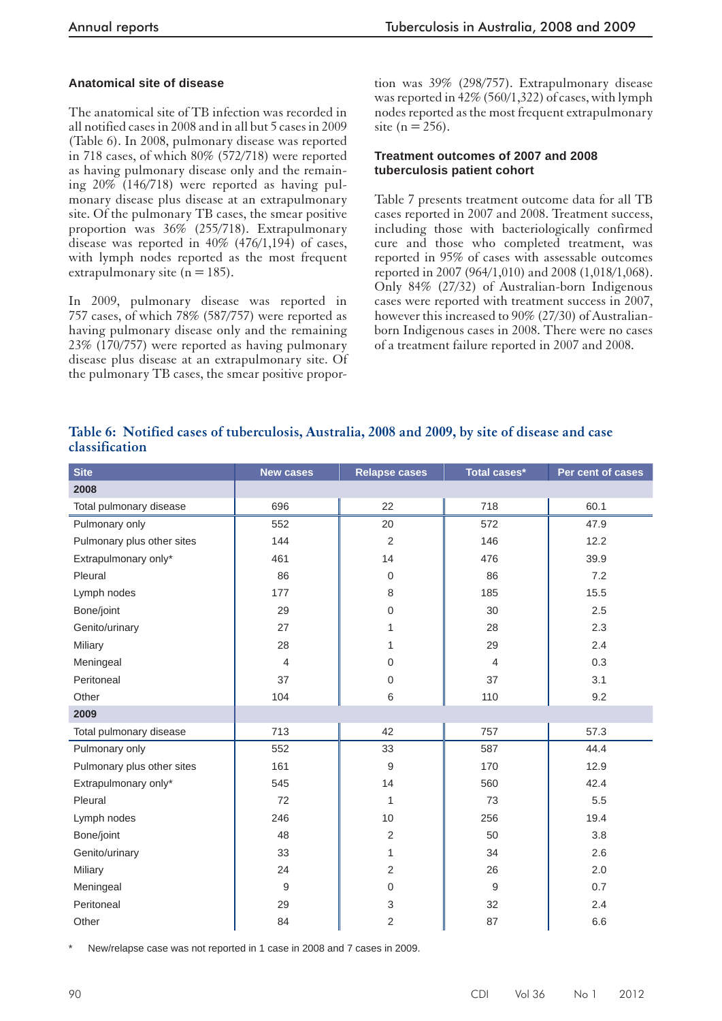#### **Anatomical site of disease**

 The anatomical site of TB infection was recorded in all notified cases in 2008 and in all but 5 cases in 2009 (Table 6). In 2008, pulmonary disease was reported in 718 cases, of which 80% (572/718) were reported as having pulmonary disease only and the remaining 20% (146/718) were reported as having pulmonary disease plus disease at an extrapulmonary site. Of the pulmonary TB cases, the smear positive proportion was 36% (255/718). Extrapulmonary disease was reported in 40% (476/1,194) of cases, with lymph nodes reported as the most frequent extrapulmonary site ( $n = 185$ ).

In 2009, pulmonary disease was reported in 757 cases, of which 78% (587/757) were reported as having pulmonary disease only and the remaining 23% (170/757) were reported as having pulmonary disease plus disease at an extrapulmonary site. Of the pulmonary TB cases, the smear positive propor-

tion was 39% (298/757). Extrapulmonary disease was reported in 42% (560/1,322) of cases, with lymph nodes reported as the most frequent extrapulmonary site ( $n = 256$ ).

#### **Treatment outcomes of 2007 and 2008 tuberculosis patient cohort**

 Table 7 presents treatment outcome data for all TB cases reported in 2007 and 2008. Treatment success, including those with bacteriologically confirmed cure and those who completed treatment, was reported in 95% of cases with assessable outcomes reported in 2007 (964/1,010) and 2008 (1,018/1,068). Only 84% (27/32) of Australian-born Indigenous cases were reported with treatment success in 2007, however this increased to 90% (27/30) of Australianborn Indigenous cases in 2008. There were no cases of a treatment failure reported in 2007 and 2008.

|                |  | Table 6: Notified cases of tuberculosis, Australia, 2008 and 2009, by site of disease and case |  |  |  |  |  |
|----------------|--|------------------------------------------------------------------------------------------------|--|--|--|--|--|
| classification |  |                                                                                                |  |  |  |  |  |

| <b>Site</b>                | <b>New cases</b> | <b>Relapse cases</b> | Total cases*   | Per cent of cases |
|----------------------------|------------------|----------------------|----------------|-------------------|
| 2008                       |                  |                      |                |                   |
| Total pulmonary disease    | 696              | 22                   | 718            | 60.1              |
| Pulmonary only             | 552              | 20                   | 572            | 47.9              |
| Pulmonary plus other sites | 144              | $\overline{2}$       | 146            | 12.2              |
| Extrapulmonary only*       | 461              | 14                   | 476            | 39.9              |
| Pleural                    | 86               | $\mathbf 0$          | 86             | 7.2               |
| Lymph nodes                | 177              | 8                    | 185            | 15.5              |
| Bone/joint                 | 29               | $\mathbf 0$          | 30             | 2.5               |
| Genito/urinary             | 27               | 1                    | 28             | 2.3               |
| Miliary                    | 28               | 1                    | 29             | 2.4               |
| Meningeal                  | $\overline{4}$   | $\mathbf 0$          | $\overline{4}$ | 0.3               |
| Peritoneal                 | 37               | $\mathbf 0$          | 37             | 3.1               |
| Other                      | 104              | 6                    | 110            | 9.2               |
| 2009                       |                  |                      |                |                   |
| Total pulmonary disease    | 713              | 42                   | 757            | 57.3              |
| Pulmonary only             | 552              | 33                   | 587            | 44.4              |
| Pulmonary plus other sites | 161              | 9                    | 170            | 12.9              |
| Extrapulmonary only*       | 545              | 14                   | 560            | 42.4              |
| Pleural                    | 72               | 1                    | 73             | 5.5               |
| Lymph nodes                | 246              | 10                   | 256            | 19.4              |
| Bone/joint                 | 48               | 2                    | 50             | 3.8               |
| Genito/urinary             | 33               | 1                    | 34             | 2.6               |
| Miliary                    | 24               | 2                    | 26             | 2.0               |
| Meningeal                  | 9                | $\boldsymbol{0}$     | 9              | 0.7               |
| Peritoneal                 | 29               | 3                    | 32             | 2.4               |
| Other                      | 84               | 2                    | 87             | 6.6               |

New/relapse case was not reported in 1 case in 2008 and 7 cases in 2009.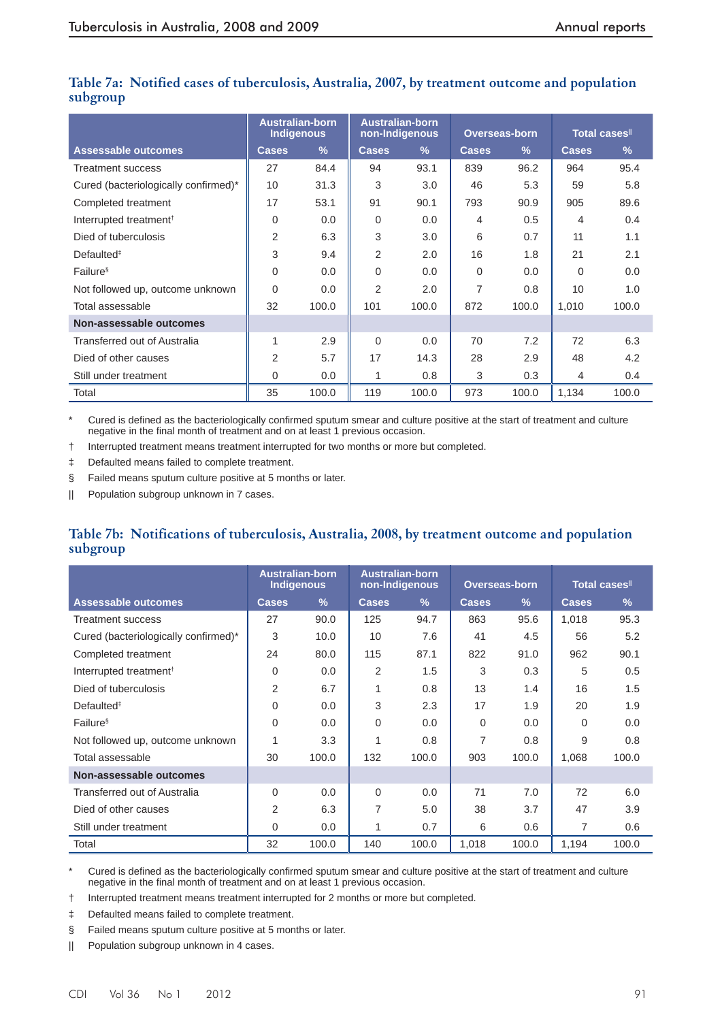|                                      | <b>Australian-born</b><br><b>Indigenous</b> |               | non-Indigenous | <b>Australian-born</b> | <b>Overseas-born</b> |       | <b>Total cases</b> <sup>II</sup> |       |
|--------------------------------------|---------------------------------------------|---------------|----------------|------------------------|----------------------|-------|----------------------------------|-------|
| <b>Assessable outcomes</b>           | <b>Cases</b>                                | $\frac{9}{6}$ | <b>Cases</b>   | $\frac{9}{6}$          | <b>Cases</b>         | $\%$  | <b>Cases</b>                     | %     |
| <b>Treatment success</b>             | 27                                          | 84.4          | 94             | 93.1                   | 839                  | 96.2  | 964                              | 95.4  |
| Cured (bacteriologically confirmed)* | 10                                          | 31.3          | 3              | 3.0                    | 46                   | 5.3   | 59                               | 5.8   |
| Completed treatment                  | 17                                          | 53.1          | 91             | 90.1                   | 793                  | 90.9  | 905                              | 89.6  |
| Interrupted treatment <sup>†</sup>   | 0                                           | 0.0           | 0              | 0.0                    | 4                    | 0.5   | 4                                | 0.4   |
| Died of tuberculosis                 | $\overline{2}$                              | 6.3           | 3              | 3.0                    | 6                    | 0.7   | 11                               | 1.1   |
| Defaulted <sup>‡</sup>               | 3                                           | 9.4           | $\overline{2}$ | 2.0                    | 16                   | 1.8   | 21                               | 2.1   |
| Failure <sup>§</sup>                 | $\overline{0}$                              | 0.0           | 0              | 0.0                    | $\mathbf 0$          | 0.0   | $\Omega$                         | 0.0   |
| Not followed up, outcome unknown     | $\overline{0}$                              | 0.0           | $\overline{2}$ | 2.0                    | 7                    | 0.8   | 10                               | 1.0   |
| Total assessable                     | 32                                          | 100.0         | 101            | 100.0                  | 872                  | 100.0 | 1.010                            | 100.0 |
| Non-assessable outcomes              |                                             |               |                |                        |                      |       |                                  |       |
| Transferred out of Australia         | 1                                           | 2.9           | $\Omega$       | 0.0                    | 70                   | 7.2   | 72                               | 6.3   |
| Died of other causes                 | $\overline{2}$                              | 5.7           | 17             | 14.3                   | 28                   | 2.9   | 48                               | 4.2   |
| Still under treatment                | $\overline{0}$                              | 0.0           | 1              | 0.8                    | 3                    | 0.3   | 4                                | 0.4   |
| Total                                | 35                                          | 100.0         | 119            | 100.0                  | 973                  | 100.0 | 1,134                            | 100.0 |

### **Table 7a: Notified cases of tuberculosis, Australia, 2007, by treatment outcome and population subgroup**

\* Cured is defined as the bacteriologically confirmed sputum smear and culture positive at the start of treatment and culture negative in the final month of treatment and on at least 1 previous occasion.

† Interrupted treatment means treatment interrupted for two months or more but completed.

‡ Defaulted means failed to complete treatment.

§ Failed means sputum culture positive at 5 months or later.

|| Population subgroup unknown in 7 cases.

### **Table 7b: Notifications of tuberculosis, Australia, 2008, by treatment outcome and population subgroup**

|                                      |                | <b>Australian-born</b><br><b>Indigenous</b> |                | <b>Australian-born</b><br>non-Indigenous |              | <b>Overseas-born</b> |              | <b>Total cases</b> <sup>II</sup> |
|--------------------------------------|----------------|---------------------------------------------|----------------|------------------------------------------|--------------|----------------------|--------------|----------------------------------|
| Assessable outcomes                  | <b>Cases</b>   | $\frac{9}{6}$                               | <b>Cases</b>   | $\frac{9}{6}$                            | <b>Cases</b> | $\frac{9}{6}$        | <b>Cases</b> | $\frac{9}{6}$                    |
| <b>Treatment success</b>             | 27             | 90.0                                        | 125            | 94.7                                     | 863          | 95.6                 | 1,018        | 95.3                             |
| Cured (bacteriologically confirmed)* | 3              | 10.0                                        | 10             | 7.6                                      | 41           | 4.5                  | 56           | 5.2                              |
| Completed treatment                  | 24             | 80.0                                        | 115            | 87.1                                     | 822          | 91.0                 | 962          | 90.1                             |
| Interrupted treatment <sup>†</sup>   | 0              | 0.0                                         | 2              | 1.5                                      | 3            | 0.3                  | 5            | 0.5                              |
| Died of tuberculosis                 | $\overline{2}$ | 6.7                                         | 1              | 0.8                                      | 13           | 1.4                  | 16           | 1.5                              |
| Defaulted <sup>#</sup>               | $\overline{0}$ | 0.0                                         | 3              | 2.3                                      | 17           | 1.9                  | 20           | 1.9                              |
| Failure <sup>§</sup>                 | $\overline{0}$ | 0.0                                         | $\Omega$       | 0.0                                      | $\Omega$     | 0.0                  | $\Omega$     | 0.0                              |
| Not followed up, outcome unknown     | 1              | 3.3                                         | 1              | 0.8                                      | 7            | 0.8                  | 9            | 0.8                              |
| Total assessable                     | 30             | 100.0                                       | 132            | 100.0                                    | 903          | 100.0                | 1,068        | 100.0                            |
| Non-assessable outcomes              |                |                                             |                |                                          |              |                      |              |                                  |
| Transferred out of Australia         | $\Omega$       | 0.0                                         | $\Omega$       | 0.0                                      | 71           | 7.0                  | 72           | 6.0                              |
| Died of other causes                 | 2              | 6.3                                         | $\overline{7}$ | 5.0                                      | 38           | 3.7                  | 47           | 3.9                              |
| Still under treatment                | $\overline{0}$ | 0.0                                         | 1              | 0.7                                      | 6            | 0.6                  | 7            | 0.6                              |
| Total                                | 32             | 100.0                                       | 140            | 100.0                                    | 1,018        | 100.0                | 1,194        | 100.0                            |

Cured is defined as the bacteriologically confirmed sputum smear and culture positive at the start of treatment and culture negative in the final month of treatment and on at least 1 previous occasion.

† Interrupted treatment means treatment interrupted for 2 months or more but completed.

‡ Defaulted means failed to complete treatment.

§ Failed means sputum culture positive at 5 months or later.

|| Population subgroup unknown in 4 cases.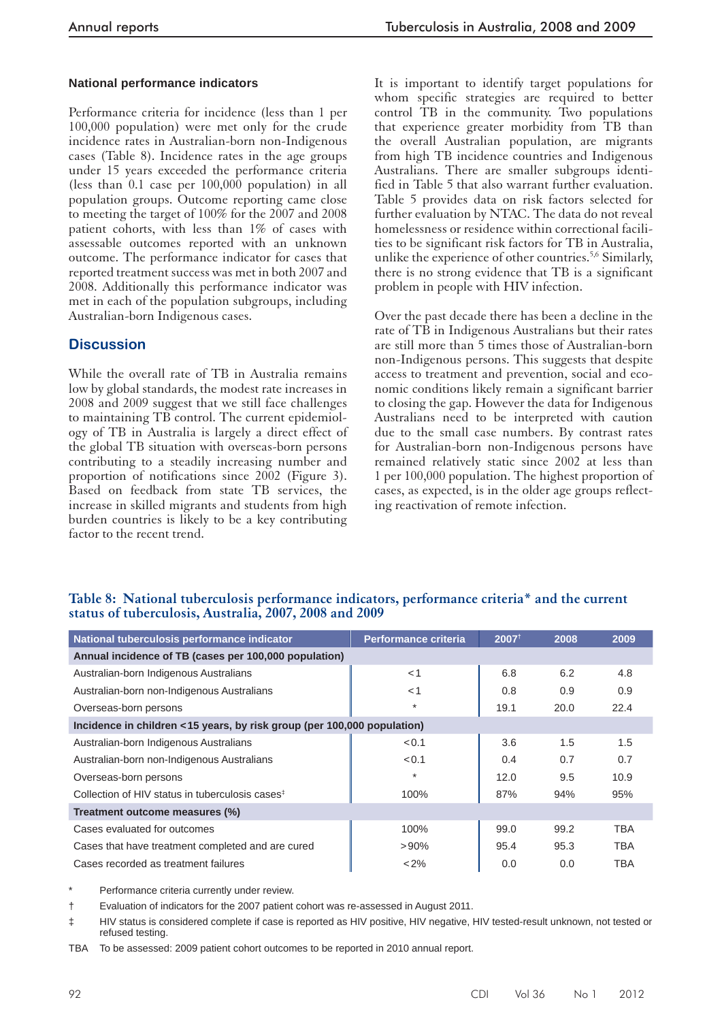#### **National performance indicators**

 Performance criteria for incidence (less than 1 per 100,000 population) were met only for the crude incidence rates in Australian-born non-Indigenous cases (Table 8). Incidence rates in the age groups under 15 years exceeded the performance criteria (less than 0.1 case per 100,000 population) in all population groups. Outcome reporting came close to meeting the target of 100% for the 2007 and 2008 patient cohorts, with less than 1% of cases with assessable outcomes reported with an unknown outcome. The performance indicator for cases that reported treatment success was met in both 2007 and 2008. Additionally this performance indicator was met in each of the population subgroups, including Australian-born Indigenous cases.

### **Discussion**

 While the overall rate of TB in Australia remains low by global standards, the modest rate increases in 2008 and 2009 suggest that we still face challenges to maintaining TB control. The current epidemiology of TB in Australia is largely a direct effect of the global TB situation with overseas-born persons contributing to a steadily increasing number and proportion of notifications since 2002 (Figure 3). Based on feedback from state TB services, the increase in skilled migrants and students from high burden countries is likely to be a key contributing factor to the recent trend.

 It is important to identify target populations for whom specific strategies are required to better control TB in the community. Two populations that experience greater morbidity from TB than the overall Australian population, are migrants from high TB incidence countries and Indigenous Australians. There are smaller subgroups identified in Table 5 that also warrant further evaluation. Table 5 provides data on risk factors selected for further evaluation by NTAC. The data do not reveal homelessness or residence within correctional facilities to be significant risk factors for TB in Australia, unlike the experience of other countries.<sup>5,6</sup> Similarly, there is no strong evidence that TB is a significant problem in people with HIV infection.

 Over the past decade there has been a decline in the rate of TB in Indigenous Australians but their rates are still more than 5 times those of Australian-born non-Indigenous persons. This suggests that despite access to treatment and prevention, social and economic conditions likely remain a significant barrier to closing the gap. However the data for Indigenous Australians need to be interpreted with caution due to the small case numbers. By contrast rates for Australian-born non-Indigenous persons have remained relatively static since 2002 at less than 1 per 100,000 population. The highest proportion of cases, as expected, is in the older age groups reflecting reactivation of remote infection.

|  |                                                        |  |  | Table 8: National tuberculosis performance indicators, performance criteria* and the current |  |
|--|--------------------------------------------------------|--|--|----------------------------------------------------------------------------------------------|--|
|  | status of tuberculosis, Australia, 2007, 2008 and 2009 |  |  |                                                                                              |  |

| National tuberculosis performance indicator                             | <b>Performance criteria</b> | 2007 <sup>t</sup> | 2008 | 2009       |
|-------------------------------------------------------------------------|-----------------------------|-------------------|------|------------|
| Annual incidence of TB (cases per 100,000 population)                   |                             |                   |      |            |
| Australian-born Indigenous Australians                                  | $<$ 1                       | 6.8               | 6.2  | 4.8        |
| Australian-born non-Indigenous Australians                              | $<$ 1                       | 0.8               | 0.9  | 0.9        |
| Overseas-born persons                                                   | $\star$                     | 19.1              | 20.0 | 22.4       |
| Incidence in children <15 years, by risk group (per 100,000 population) |                             |                   |      |            |
| Australian-born Indigenous Australians                                  | < 0.1                       | 3.6               | 1.5  | 1.5        |
| Australian-born non-Indigenous Australians                              | < 0.1                       | 0.4               | 0.7  | 0.7        |
| Overseas-born persons                                                   | $\star$                     | 12.0              | 9.5  | 10.9       |
| Collection of HIV status in tuberculosis cases <sup>‡</sup>             | 100%                        | 87%               | 94%  | 95%        |
| Treatment outcome measures (%)                                          |                             |                   |      |            |
| Cases evaluated for outcomes                                            | 100%                        | 99.0              | 99.2 | <b>TBA</b> |
| Cases that have treatment completed and are cured                       | $>90\%$                     | 95.4              | 95.3 | <b>TBA</b> |
| Cases recorded as treatment failures                                    | $< 2\%$                     | 0.0               | 0.0  | <b>TBA</b> |

Performance criteria currently under review.

† Evaluation of indicators for the 2007 patient cohort was re-assessed in August 2011.

‡ HIV status is considered complete if case is reported as HIV positive, HIV negative, HIV tested-result unknown, not tested or refused testing.

TBA To be assessed: 2009 patient cohort outcomes to be reported in 2010 annual report.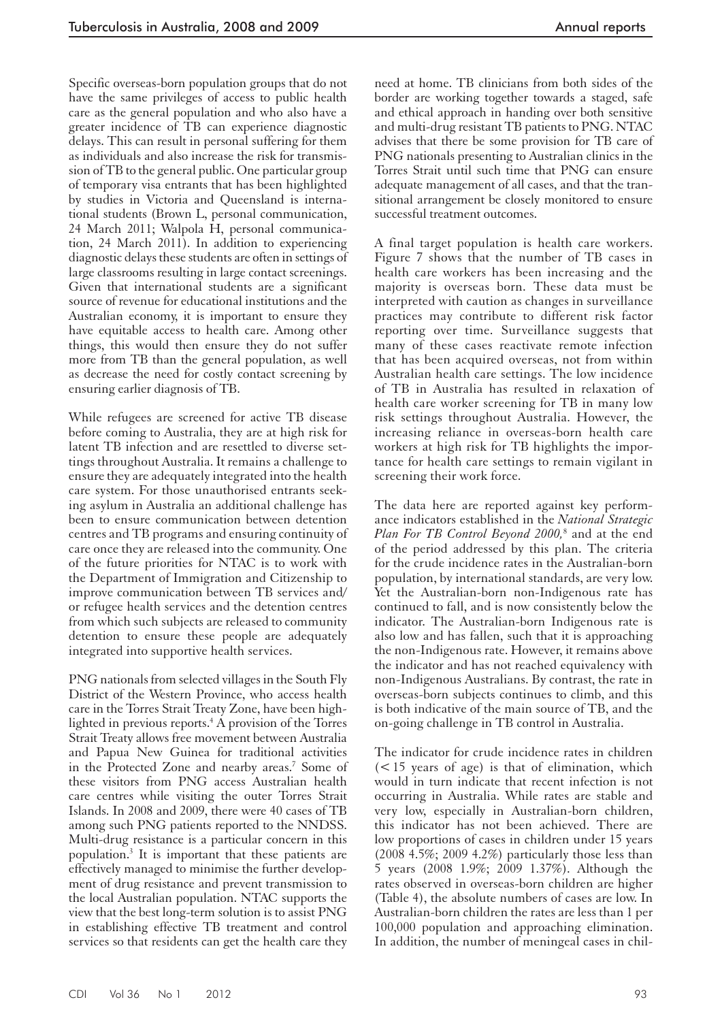Specific overseas-born population groups that do not have the same privileges of access to public health care as the general population and who also have a greater incidence of TB can experience diagnostic delays. This can result in personal suffering for them as individuals and also increase the risk for transmission of TB to the general public. One particular group of temporary visa entrants that has been highlighted by studies in Victoria and Queensland is international students (Brown L, personal communication, 24 March 2011; Walpola H, personal communication, 24 March 2011). In addition to experiencing diagnostic delays these students are often in settings of large classrooms resulting in large contact screenings. Given that international students are a significant source of revenue for educational institutions and the Australian economy, it is important to ensure they have equitable access to health care. Among other things, this would then ensure they do not suffer more from TB than the general population, as well as decrease the need for costly contact screening by ensuring earlier diagnosis of TB.

 While refugees are screened for active TB disease before coming to Australia, they are at high risk for latent TB infection and are resettled to diverse settings throughout Australia. It remains a challenge to ensure they are adequately integrated into the health care system. For those unauthorised entrants seeking asylum in Australia an additional challenge has been to ensure communication between detention centres and TB programs and ensuring continuity of care once they are released into the community. One of the future priorities for NTAC is to work with the Department of Immigration and Citizenship to improve communication between TB services and/ or refugee health services and the detention centres from which such subjects are released to community detention to ensure these people are adequately integrated into supportive health services.

 PNG nationals from selected villages in the South Fly District of the Western Province, who access health care in the Torres Strait Treaty Zone, have been highlighted in previous reports. 4 A provision of the Torres Strait Treaty allows free movement between Australia and Papua New Guinea for traditional activities in the Protected Zone and nearby areas.<sup>7</sup> Some of these visitors from PNG access Australian health care centres while visiting the outer Torres Strait Islands. In 2008 and 2009, there were 40 cases of TB among such PNG patients reported to the NNDSS. Multi-drug resistance is a particular concern in this population. 3 It is important that these patients are effectively managed to minimise the further development of drug resistance and prevent transmission to the local Australian population. NTAC supports the view that the best long-term solution is to assist PNG in establishing effective TB treatment and control services so that residents can get the health care they

need at home. TB clinicians from both sides of the border are working together towards a staged, safe and ethical approach in handing over both sensitive and multi-drug resistant TB patients to PNG. NTAC advises that there be some provision for TB care of PNG nationals presenting to Australian clinics in the Torres Strait until such time that PNG can ensure adequate management of all cases, and that the transitional arrangement be closely monitored to ensure successful treatment outcomes.

 A final target population is health care workers. Figure 7 shows that the number of TB cases in health care workers has been increasing and the majority is overseas born. These data must be interpreted with caution as changes in surveillance practices may contribute to different risk factor reporting over time. Surveillance suggests that many of these cases reactivate remote infection that has been acquired overseas, not from within Australian health care settings. The low incidence of TB in Australia has resulted in relaxation of health care worker screening for TB in many low risk settings throughout Australia. However, the increasing reliance in overseas-born health care workers at high risk for TB highlights the importance for health care settings to remain vigilant in screening their work force.

 The data here are reported against key performance indicators established in the *National Strategic Plan For TB Control Beyond 2000,* 8 and at the end of the period addressed by this plan. The criteria for the crude incidence rates in the Australian-born population, by international standards, are very low. Yet the Australian-born non-Indigenous rate has continued to fall, and is now consistently below the indicator. The Australian-born Indigenous rate is also low and has fallen, such that it is approaching the non-Indigenous rate. However, it remains above the indicator and has not reached equivalency with non-Indigenous Australians. By contrast, the rate in overseas-born subjects continues to climb, and this is both indicative of the main source of TB, and the on-going challenge in TB control in Australia.

 The indicator for crude incidence rates in children  $(< 15$  years of age) is that of elimination, which would in turn indicate that recent infection is not occurring in Australia. While rates are stable and very low, especially in Australian-born children, this indicator has not been achieved. There are low proportions of cases in children under 15 years (2008 4.5%; 2009 4.2%) particularly those less than 5 years (2008 1.9%; 2009 1.37%). Although the rates observed in overseas-born children are higher (Table 4), the absolute numbers of cases are low. In Australian-born children the rates are less than 1 per 100,000 population and approaching elimination. In addition, the number of meningeal cases in chil